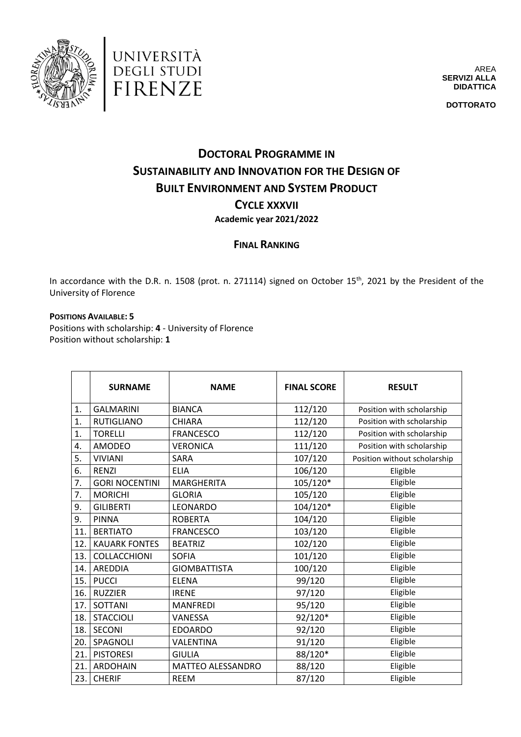



AREA **SERVIZI ALLA DIDATTICA**

**DOTTORATO**

## **DOCTORAL PROGRAMME IN SUSTAINABILITY AND INNOVATION FOR THE DESIGN OF BUILT ENVIRONMENT AND SYSTEM PRODUCT CYCLE XXXVII Academic year 2021/2022**

## **FINAL RANKING**

In accordance with the D.R. n. 1508 (prot. n. 271114) signed on October 15<sup>th</sup>, 2021 by the President of the University of Florence

**POSITIONS AVAILABLE: 5**

Positions with scholarship: **4** - University of Florence Position without scholarship: **1**

|                  | <b>SURNAME</b>        | <b>NAME</b>         | <b>FINAL SCORE</b> | <b>RESULT</b>                |
|------------------|-----------------------|---------------------|--------------------|------------------------------|
| 1.               | <b>GALMARINI</b>      | <b>BIANCA</b>       | 112/120            | Position with scholarship    |
| $\overline{1}$ . | <b>RUTIGLIANO</b>     | <b>CHIARA</b>       | 112/120            | Position with scholarship    |
| 1.               | <b>TORELLI</b>        | <b>FRANCESCO</b>    | 112/120            | Position with scholarship    |
| 4.               | <b>AMODEO</b>         | <b>VERONICA</b>     | 111/120            | Position with scholarship    |
| 5.               | <b>VIVIANI</b>        | <b>SARA</b>         | 107/120            | Position without scholarship |
| 6.               | <b>RENZI</b>          | <b>ELIA</b>         | 106/120            | Eligible                     |
| 7.               | <b>GORI NOCENTINI</b> | <b>MARGHERITA</b>   | 105/120*           | Eligible                     |
| 7.               | <b>MORICHI</b>        | <b>GLORIA</b>       | 105/120            | Eligible                     |
| 9.               | <b>GILIBERTI</b>      | <b>LEONARDO</b>     | 104/120*           | Eligible                     |
| 9.               | <b>PINNA</b>          | <b>ROBERTA</b>      | 104/120            | Eligible                     |
| 11.              | <b>BERTIATO</b>       | <b>FRANCESCO</b>    | 103/120            | Eligible                     |
| 12.              | <b>KAUARK FONTES</b>  | <b>BEATRIZ</b>      | 102/120            | Eligible                     |
| 13.              | COLLACCHIONI          | <b>SOFIA</b>        | 101/120            | Eligible                     |
| 14.              | <b>AREDDIA</b>        | <b>GIOMBATTISTA</b> | 100/120            | Eligible                     |
| 15.              | <b>PUCCI</b>          | <b>ELENA</b>        | 99/120             | Eligible                     |
| 16.              | <b>RUZZIER</b>        | <b>IRENE</b>        | 97/120             | Eligible                     |
| 17.              | <b>SOTTANI</b>        | <b>MANFREDI</b>     | 95/120             | Eligible                     |
| 18.              | <b>STACCIOLI</b>      | VANESSA             | 92/120*            | Eligible                     |
| 18.              | <b>SECONI</b>         | <b>EDOARDO</b>      | 92/120             | Eligible                     |
| 20.              | SPAGNOLI              | <b>VALENTINA</b>    | 91/120             | Eligible                     |
| 21.              | <b>PISTORESI</b>      | <b>GIULIA</b>       | 88/120*            | Eligible                     |
| 21.              | <b>ARDOHAIN</b>       | MATTEO ALESSANDRO   | 88/120             | Eligible                     |
| 23.              | <b>CHERIF</b>         | <b>REEM</b>         | 87/120             | Eligible                     |